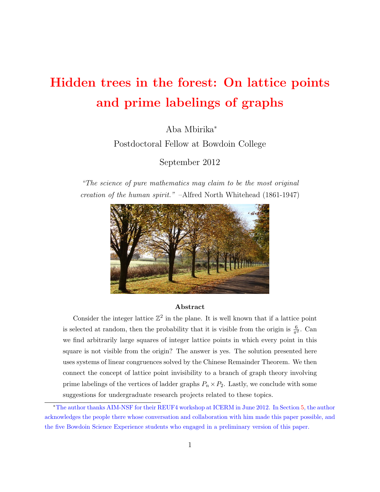# Hidden trees in the forest: On lattice points and prime labelings of graphs

Aba Mbirika<sup>∗</sup>

Postdoctoral Fellow at Bowdoin College

September 2012

"The science of pure mathematics may claim to be the most original creation of the human spirit." –Alfred North Whitehead (1861-1947)



#### Abstract

Consider the integer lattice  $\mathbb{Z}^2$  in the plane. It is well known that if a lattice point is selected at random, then the probability that it is visible from the origin is  $\frac{6}{\pi^2}$ . Can we find arbitrarily large squares of integer lattice points in which every point in this square is not visible from the origin? The answer is yes. The solution presented here uses systems of linear congruences solved by the Chinese Remainder Theorem. We then connect the concept of lattice point invisibility to a branch of graph theory involving prime labelings of the vertices of ladder graphs  $P_n \times P_2$ . Lastly, we conclude with some suggestions for undergraduate research projects related to these topics.

<sup>∗</sup>The author thanks AIM-NSF for their REUF4 workshop at ICERM in June 2012. In Section [5,](#page-16-0) the author acknowledges the people there whose conversation and collaboration with him made this paper possible, and the five Bowdoin Science Experience students who engaged in a preliminary version of this paper.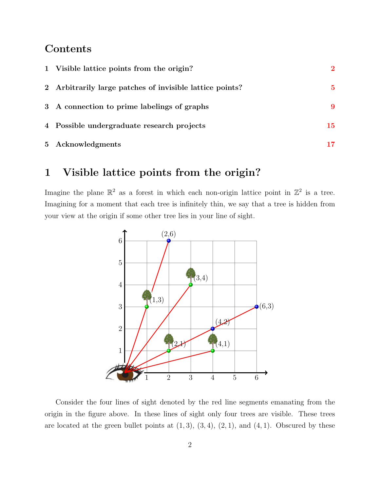#### Contents

| 1 Visible lattice points from the origin?                | $\mathbf 2$ |
|----------------------------------------------------------|-------------|
| 2 Arbitrarily large patches of invisible lattice points? | 5           |
| 3 A connection to prime labelings of graphs              | 9           |
| 4 Possible undergraduate research projects               | 15          |
| 5 Acknowledgments                                        | 17          |

## <span id="page-1-0"></span>1 Visible lattice points from the origin?

Imagine the plane  $\mathbb{R}^2$  as a forest in which each non-origin lattice point in  $\mathbb{Z}^2$  is a tree. Imagining for a moment that each tree is infinitely thin, we say that a tree is hidden from your view at the origin if some other tree lies in your line of sight.



Consider the four lines of sight denoted by the red line segments emanating from the origin in the figure above. In these lines of sight only four trees are visible. These trees are located at the green bullet points at  $(1, 3)$ ,  $(3, 4)$ ,  $(2, 1)$ , and  $(4, 1)$ . Obscured by these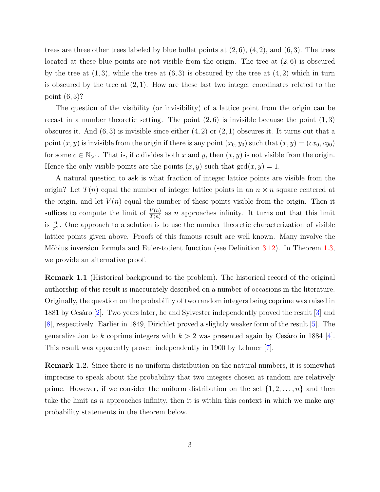trees are three other trees labeled by blue bullet points at  $(2, 6)$ ,  $(4, 2)$ , and  $(6, 3)$ . The trees located at these blue points are not visible from the origin. The tree at  $(2, 6)$  is obscured by the tree at  $(1, 3)$ , while the tree at  $(6, 3)$  is obscured by the tree at  $(4, 2)$  which in turn is obscured by the tree at  $(2, 1)$ . How are these last two integer coordinates related to the point (6, 3)?

The question of the visibility (or invisibility) of a lattice point from the origin can be recast in a number theoretic setting. The point  $(2, 6)$  is invisible because the point  $(1, 3)$ obscures it. And  $(6,3)$  is invisible since either  $(4,2)$  or  $(2,1)$  obscures it. It turns out that a point  $(x, y)$  is invisible from the origin if there is any point  $(x_0, y_0)$  such that  $(x, y) = (cx_0, cy_0)$ for some  $c \in \mathbb{N}_{>1}$ . That is, if c divides both x and y, then  $(x, y)$  is not visible from the origin. Hence the only visible points are the points  $(x, y)$  such that  $gcd(x, y) = 1$ .

A natural question to ask is what fraction of integer lattice points are visible from the origin? Let  $T(n)$  equal the number of integer lattice points in an  $n \times n$  square centered at the origin, and let  $V(n)$  equal the number of these points visible from the origin. Then it suffices to compute the limit of  $\frac{V(n)}{T(n)}$  as n approaches infinity. It turns out that this limit is  $\frac{6}{\pi^2}$ . One approach to a solution is to use the number theoretic characterization of visible lattice points given above. Proofs of this famous result are well known. Many involve the Möbius inversion formula and Euler-totient function (see Definition [3.12\)](#page-13-0). In Theorem [1.3,](#page-3-0) we provide an alternative proof.

Remark 1.1 (Historical background to the problem). The historical record of the original authorship of this result is inaccurately described on a number of occasions in the literature. Originally, the question on the probability of two random integers being coprime was raised in 1881 by Cesàro [\[2\]](#page-17-0). Two years later, he and Sylvester independently proved the result [\[3\]](#page-17-1) and [\[8\]](#page-17-2), respectively. Earlier in 1849, Dirichlet proved a slightly weaker form of the result [\[5\]](#page-17-3). The generalization to k coprime integers with  $k > 2$  was presented again by Cesaro in 1884 [\[4\]](#page-17-4). This result was apparently proven independently in 1900 by Lehmer [\[7\]](#page-17-5).

Remark 1.2. Since there is no uniform distribution on the natural numbers, it is somewhat imprecise to speak about the probability that two integers chosen at random are relatively prime. However, if we consider the uniform distribution on the set  $\{1, 2, \ldots, n\}$  and then take the limit as n approaches infinity, then it is within this context in which we make any probability statements in the theorem below.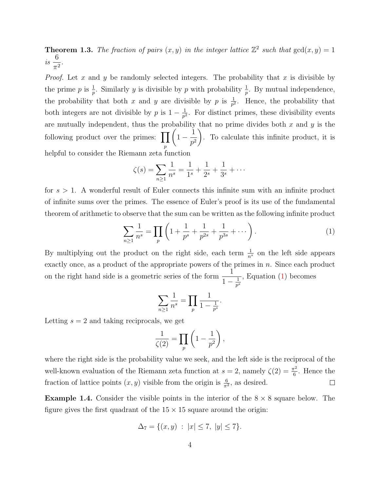<span id="page-3-0"></span>**Theorem 1.3.** The fraction of pairs  $(x, y)$  in the integer lattice  $\mathbb{Z}^2$  such that  $gcd(x, y) = 1$ is 6  $\frac{0}{\pi^2}$ .

*Proof.* Let x and y be randomly selected integers. The probability that x is divisible by the prime p is  $\frac{1}{p}$ . Similarly y is divisible by p with probability  $\frac{1}{p}$ . By mutual independence, the probability that both x and y are divisible by p is  $\frac{1}{p^2}$ . Hence, the probability that both integers are not divisible by p is  $1 - \frac{1}{n^2}$  $\frac{1}{p^2}$ . For distinct primes, these divisibility events are mutually independent, thus the probability that no prime divides both  $x$  and  $y$  is the following product over the primes:  $\prod$ p  $\sqrt{ }$  $1 - \frac{1}{6}$  $p^2$  $\setminus$ . To calculate this infinite product, it is helpful to consider the Riemann zeta function

$$
\zeta(s) = \sum_{n \ge 1} \frac{1}{n^s} = \frac{1}{1^s} + \frac{1}{2^s} + \frac{1}{3^s} + \cdots
$$

for  $s > 1$ . A wonderful result of Euler connects this infinite sum with an infinite product of infinite sums over the primes. The essence of Euler's proof is its use of the fundamental theorem of arithmetic to observe that the sum can be written as the following infinite product

$$
\sum_{n\geq 1} \frac{1}{n^s} = \prod_p \left( 1 + \frac{1}{p^s} + \frac{1}{p^{2s}} + \frac{1}{p^{3s}} + \cdots \right). \tag{1}
$$

By multiplying out the product on the right side, each term  $\frac{1}{n^s}$  on the left side appears exactly once, as a product of the appropriate powers of the primes in n. Since each product on the right hand side is a geometric series of the form  $\frac{1}{1}$  $1 - \frac{1}{n^3}$  $\overline{p^s}$ , Equation [\(1\)](#page-3-1) becomes

<span id="page-3-1"></span>
$$
\sum_{n\geq 1} \frac{1}{n^s} = \prod_{p} \frac{1}{1 - \frac{1}{p^s}}.
$$

Letting  $s = 2$  and taking reciprocals, we get

$$
\frac{1}{\zeta(2)} = \prod_p \left(1 - \frac{1}{p^2}\right),\,
$$

where the right side is the probability value we seek, and the left side is the reciprocal of the well-known evaluation of the Riemann zeta function at  $s = 2$ , namely  $\zeta(2) = \frac{\pi^2}{6}$  $\frac{r^2}{6}$ . Hence the fraction of lattice points  $(x, y)$  visible from the origin is  $\frac{6}{\pi^2}$ , as desired.  $\Box$ 

**Example 1.4.** Consider the visible points in the interior of the  $8 \times 8$  square below. The figure gives the first quadrant of the  $15 \times 15$  square around the origin:

$$
\Delta_7 = \{(x, y) : |x| \le 7, |y| \le 7\}.
$$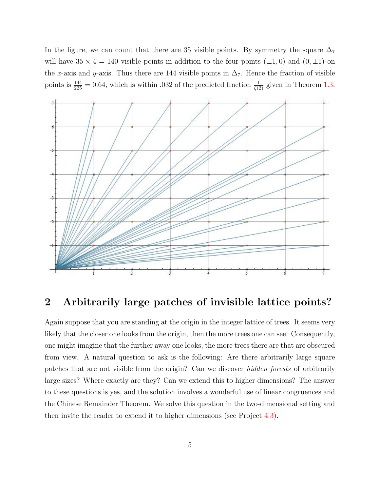In the figure, we can count that there are 35 visible points. By symmetry the square  $\Delta_7$ will have  $35 \times 4 = 140$  visible points in addition to the four points  $(\pm 1, 0)$  and  $(0, \pm 1)$  on the x-axis and y-axis. Thus there are 144 visible points in  $\Delta_7$ . Hence the fraction of visible points is  $\frac{144}{225} = 0.64$ , which is within 0.032 of the predicted fraction  $\frac{1}{\zeta(2)}$  given in Theorem [1.3.](#page-3-0)



#### <span id="page-4-0"></span>2 Arbitrarily large patches of invisible lattice points?

Again suppose that you are standing at the origin in the integer lattice of trees. It seems very likely that the closer one looks from the origin, then the more trees one can see. Consequently, one might imagine that the further away one looks, the more trees there are that are obscured from view. A natural question to ask is the following: Are there arbitrarily large square patches that are not visible from the origin? Can we discover hidden forests of arbitrarily large sizes? Where exactly are they? Can we extend this to higher dimensions? The answer to these questions is yes, and the solution involves a wonderful use of linear congruences and the Chinese Remainder Theorem. We solve this question in the two-dimensional setting and then invite the reader to extend it to higher dimensions (see Project [4.3\)](#page-14-1).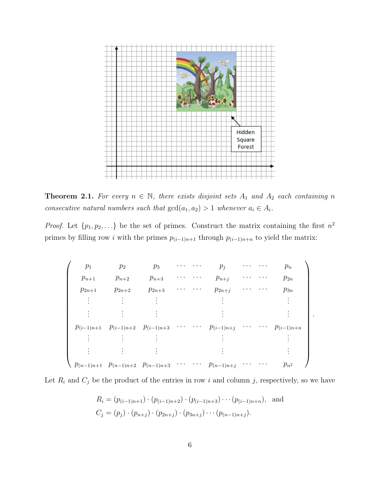

<span id="page-5-0"></span>**Theorem 2.1.** For every  $n \in \mathbb{N}$ , there exists disjoint sets  $A_1$  and  $A_2$  each containing n consecutive natural numbers such that  $gcd(a_1, a_2) > 1$  whenever  $a_i \in A_i$ .

*Proof.* Let  $\{p_1, p_2, ...\}$  be the set of primes. Construct the matrix containing the first  $n^2$ primes by filling row *i* with the primes  $p_{(i-1)n+1}$  through  $p_{(i-1)n+n}$  to yield the matrix:

| $p_1$          | $p_2$                                        | $p_3$      |  | $p_j$          |  | $p_n$          |
|----------------|----------------------------------------------|------------|--|----------------|--|----------------|
| $p_{n+1}$      | $p_{n+2}$                                    | $p_{n+3}$  |  | $p_{n+j}$      |  | $p_{2n}$       |
| $p_{2n+1}$     | $p_{2n+2}$                                   | $p_{2n+3}$ |  | $p_{2n+j}$     |  | $p_{3n}$       |
|                |                                              |            |  |                |  |                |
|                |                                              |            |  |                |  |                |
| $p_{(i-1)n+1}$ | $p_{(i-1)n+2}$ $p_{(i-1)n+3}$                |            |  | $p_{(i-1)n+j}$ |  | $p_{(i-1)n+n}$ |
|                |                                              |            |  |                |  |                |
|                |                                              |            |  |                |  |                |
|                | $p_{(n-1)n+1}$ $p_{(n-1)n+2}$ $p_{(n-1)n+3}$ |            |  | $p_{(n-1)n+j}$ |  | $p_{n^2}$      |

.

Let  $R_i$  and  $C_j$  be the product of the entries in row i and column j, respectively, so we have

$$
R_i = (p_{(i-1)n+1}) \cdot (p_{(i-1)n+2}) \cdot (p_{(i-1)n+3}) \cdots (p_{(i-1)n+n}),
$$
 and  

$$
C_j = (p_j) \cdot (p_{n+j}) \cdot (p_{2n+j}) \cdot (p_{3n+j}) \cdots (p_{(n-1)n+j}).
$$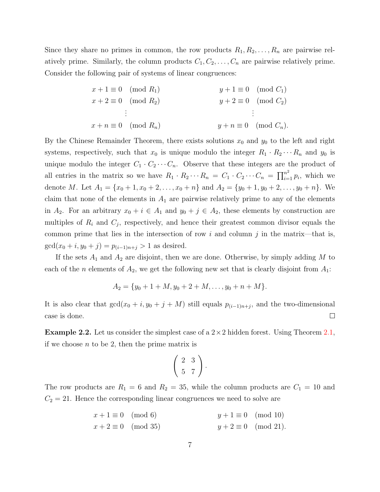Since they share no primes in common, the row products  $R_1, R_2, \ldots, R_n$  are pairwise relatively prime. Similarly, the column products  $C_1, C_2, \ldots, C_n$  are pairwise relatively prime. Consider the following pair of systems of linear congruences:

$$
x + 1 \equiv 0 \pmod{R_1}
$$
  
\n
$$
x + 2 \equiv 0 \pmod{R_2}
$$
  
\n
$$
\vdots
$$
  
\n
$$
x + n \equiv 0 \pmod{R_n}
$$
  
\n
$$
y + 1 \equiv 0 \pmod{C_1}
$$
  
\n
$$
y + 2 \equiv 0 \pmod{C_2}
$$
  
\n
$$
\vdots
$$
  
\n
$$
y + n \equiv 0 \pmod{C_n}
$$

By the Chinese Remainder Theorem, there exists solutions  $x_0$  and  $y_0$  to the left and right systems, respectively, such that  $x_0$  is unique modulo the integer  $R_1 \cdot R_2 \cdots R_n$  and  $y_0$  is unique modulo the integer  $C_1 \cdot C_2 \cdots C_n$ . Observe that these integers are the product of all entries in the matrix so we have  $R_1 \cdot R_2 \cdots R_n = C_1 \cdot C_2 \cdots C_n = \prod_{i=1}^{n^2} p_i$ , which we denote M. Let  $A_1 = \{x_0 + 1, x_0 + 2, \ldots, x_0 + n\}$  and  $A_2 = \{y_0 + 1, y_0 + 2, \ldots, y_0 + n\}$ . We claim that none of the elements in  $A_1$  are pairwise relatively prime to any of the elements in  $A_2$ . For an arbitrary  $x_0 + i \in A_1$  and  $y_0 + j \in A_2$ , these elements by construction are multiples of  $R_i$  and  $C_j$ , respectively, and hence their greatest common divisor equals the common prime that lies in the intersection of row i and column j in the matrix—that is,  $gcd(x_0 + i, y_0 + j) = p_{(i-1)n+j} > 1$  as desired.

If the sets  $A_1$  and  $A_2$  are disjoint, then we are done. Otherwise, by simply adding M to each of the *n* elements of  $A_2$ , we get the following new set that is clearly disjoint from  $A_1$ :

$$
A_2 = \{y_0 + 1 + M, y_0 + 2 + M, \dots, y_0 + n + M\}.
$$

It is also clear that  $gcd(x_0 + i, y_0 + j + M)$  still equals  $p_{(i-1)n+j}$ , and the two-dimensional case is done.  $\Box$ 

<span id="page-6-0"></span>**Example 2.2.** Let us consider the simplest case of a  $2 \times 2$  hidden forest. Using Theorem [2.1,](#page-5-0) if we choose  $n$  to be 2, then the prime matrix is

$$
\left(\begin{array}{cc}2 & 3\\5 & 7\end{array}\right).
$$

The row products are  $R_1 = 6$  and  $R_2 = 35$ , while the column products are  $C_1 = 10$  and  $C_2 = 21$ . Hence the corresponding linear congruences we need to solve are

$$
x + 1 \equiv 0 \pmod{6}
$$
  
\n
$$
x + 2 \equiv 0 \pmod{35}
$$
  
\n
$$
y + 1 \equiv 0 \pmod{10}
$$
  
\n
$$
y + 2 \equiv 0 \pmod{21}.
$$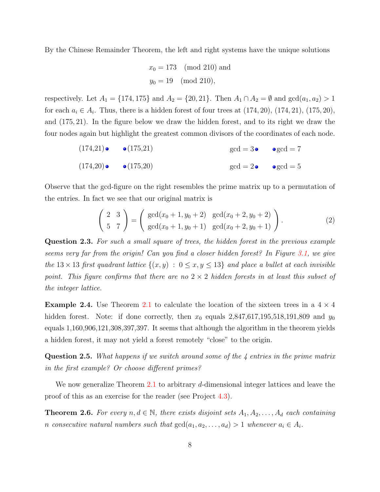By the Chinese Remainder Theorem, the left and right systems have the unique solutions

$$
x_0 = 173 \pmod{210}
$$
 and  
 $y_0 = 19 \pmod{210}$ ,

respectively. Let  $A_1 = \{174, 175\}$  and  $A_2 = \{20, 21\}$ . Then  $A_1 \cap A_2 = \emptyset$  and  $gcd(a_1, a_2) > 1$ for each  $a_i \in A_i$ . Thus, there is a hidden forest of four trees at  $(174, 20)$ ,  $(174, 21)$ ,  $(175, 20)$ , and (175, 21). In the figure below we draw the hidden forest, and to its right we draw the four nodes again but highlight the greatest common divisors of the coordinates of each node.

$$
(174,21) \bullet \bullet (175,21) \bullet \text{gcd} = 3 \bullet \bullet \text{gcd} = 7
$$
  

$$
(174,20) \bullet \bullet (175,20) \bullet \text{gcd} = 2 \bullet \bullet \text{gcd} = 5
$$

Observe that the gcd-figure on the right resembles the prime matrix up to a permutation of the entries. In fact we see that our original matrix is

<span id="page-7-1"></span>
$$
\begin{pmatrix} 2 & 3 \ 5 & 7 \end{pmatrix} = \begin{pmatrix} \gcd(x_0 + 1, y_0 + 2) & \gcd(x_0 + 2, y_0 + 2) \\ \gcd(x_0 + 1, y_0 + 1) & \gcd(x_0 + 2, y_0 + 1) \end{pmatrix}.
$$
 (2)

Question 2.3. For such a small square of trees, the hidden forest in the previous example seems very far from the origin! Can you find a closer hidden forest? In Figure [3.1,](#page-12-0) we give the 13  $\times$  13 first quadrant lattice  $\{(x, y) : 0 \le x, y \le 13\}$  and place a bullet at each invisible point. This figure confirms that there are no  $2 \times 2$  hidden forests in at least this subset of the integer lattice.

**Example 2.4.** Use Theorem [2.1](#page-5-0) to calculate the location of the sixteen trees in a  $4 \times 4$ hidden forest. Note: if done correctly, then  $x_0$  equals  $2,847,617,195,518,191,809$  and  $y_0$ equals 1,160,906,121,308,397,397. It seems that although the algorithm in the theorem yields a hidden forest, it may not yield a forest remotely "close" to the origin.

**Question 2.5.** What happens if we switch around some of the 4 entries in the prime matrix in the first example? Or choose different primes?

We now generalize Theorem [2.1](#page-5-0) to arbitrary d-dimensional integer lattices and leave the proof of this as an exercise for the reader (see Project [4.3\)](#page-14-1).

<span id="page-7-0"></span>**Theorem 2.6.** For every  $n, d \in \mathbb{N}$ , there exists disjoint sets  $A_1, A_2, \ldots, A_d$  each containing n consecutive natural numbers such that  $gcd(a_1, a_2, \ldots, a_d) > 1$  whenever  $a_i \in A_i$ .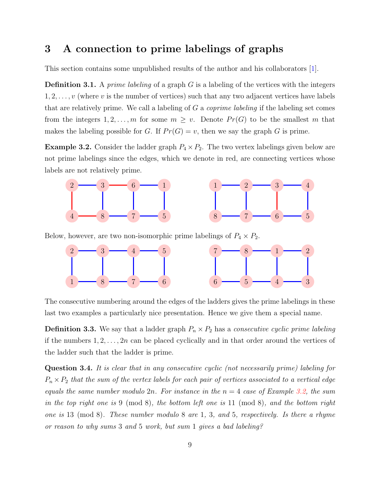#### <span id="page-8-0"></span>3 A connection to prime labelings of graphs

This section contains some unpublished results of the author and his collaborators [\[1\]](#page-17-6).

**Definition 3.1.** A prime labeling of a graph  $G$  is a labeling of the vertices with the integers  $1, 2, \ldots, v$  (where v is the number of vertices) such that any two adjacent vertices have labels that are relatively prime. We call a labeling of  $G$  a *coprime labeling* if the labeling set comes from the integers  $1, 2, ..., m$  for some  $m \geq v$ . Denote  $Pr(G)$  to be the smallest m that makes the labeling possible for G. If  $Pr(G) = v$ , then we say the graph G is prime.

<span id="page-8-1"></span>**Example 3.2.** Consider the ladder graph  $P_4 \times P_2$ . The two vertex labelings given below are not prime labelings since the edges, which we denote in red, are connecting vertices whose labels are not relatively prime.



Below, however, are two non-isomorphic prime labelings of  $P_4 \times P_2$ .



The consecutive numbering around the edges of the ladders gives the prime labelings in these last two examples a particularly nice presentation. Hence we give them a special name.

**Definition 3.3.** We say that a ladder graph  $P_n \times P_2$  has a *consecutive cyclic prime labeling* if the numbers  $1, 2, \ldots, 2n$  can be placed cyclically and in that order around the vertices of the ladder such that the ladder is prime.

<span id="page-8-2"></span>Question 3.4. It is clear that in any consecutive cyclic (not necessarily prime) labeling for  $P_n \times P_2$  that the sum of the vertex labels for each pair of vertices associated to a vertical edge equals the same number modulo 2n. For instance in the  $n = 4$  case of Example [3.2,](#page-8-1) the sum in the top right one is 9 (mod 8), the bottom left one is 11 (mod 8), and the bottom right one is 13 (mod 8). These number modulo 8 are 1, 3, and 5, respectively. Is there a rhyme or reason to why sums 3 and 5 work, but sum 1 gives a bad labeling?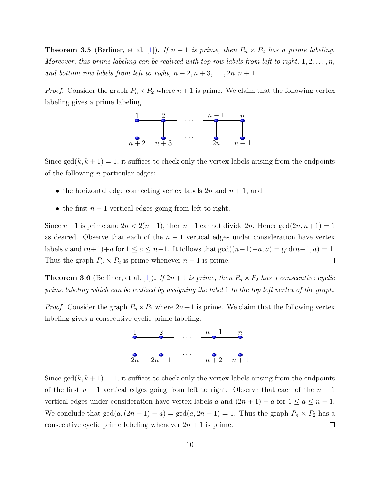<span id="page-9-1"></span>**Theorem 3.5** (Berliner, et al. [\[1\]](#page-17-6)). If  $n + 1$  is prime, then  $P_n \times P_2$  has a prime labeling. Moreover, this prime labeling can be realized with top row labels from left to right,  $1, 2, \ldots, n$ , and bottom row labels from left to right,  $n+2, n+3, \ldots, 2n, n+1$ .

*Proof.* Consider the graph  $P_n \times P_2$  where  $n+1$  is prime. We claim that the following vertex labeling gives a prime labeling:



Since  $gcd(k, k + 1) = 1$ , it suffices to check only the vertex labels arising from the endpoints of the following  $n$  particular edges:

- the horizontal edge connecting vertex labels  $2n$  and  $n + 1$ , and
- the first  $n-1$  vertical edges going from left to right.

Since  $n+1$  is prime and  $2n < 2(n+1)$ , then  $n+1$  cannot divide  $2n$ . Hence  $gcd(2n, n+1) = 1$ as desired. Observe that each of the  $n-1$  vertical edges under consideration have vertex labels a and  $(n+1)+a$  for  $1 \le a \le n-1$ . It follows that  $gcd((n+1)+a, a) = gcd(n+1, a) = 1$ . Thus the graph  $P_n \times P_2$  is prime whenever  $n + 1$  is prime.  $\Box$ 

<span id="page-9-0"></span>**Theorem 3.6** (Berliner, et al. [\[1\]](#page-17-6)). If  $2n+1$  is prime, then  $P_n \times P_2$  has a consecutive cyclic prime labeling which can be realized by assigning the label 1 to the top left vertex of the graph.

*Proof.* Consider the graph  $P_n \times P_2$  where  $2n+1$  is prime. We claim that the following vertex labeling gives a consecutive cyclic prime labeling:



Since  $gcd(k, k + 1) = 1$ , it suffices to check only the vertex labels arising from the endpoints of the first  $n-1$  vertical edges going from left to right. Observe that each of the  $n-1$ vertical edges under consideration have vertex labels a and  $(2n + 1) - a$  for  $1 \le a \le n - 1$ . We conclude that  $gcd(a,(2n+1)-a) = gcd(a,2n+1) = 1$ . Thus the graph  $P_n \times P_2$  has a consecutive cyclic prime labeling whenever  $2n + 1$  is prime.  $\Box$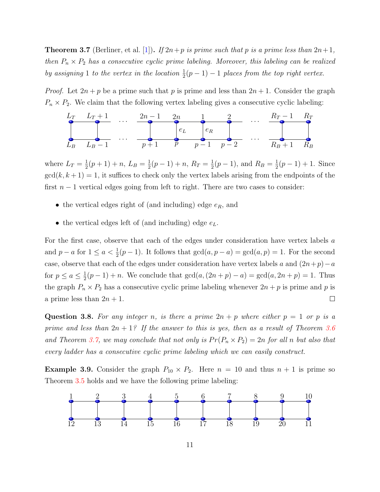<span id="page-10-0"></span>**Theorem 3.7** (Berliner, et al. [\[1\]](#page-17-6)). If  $2n+p$  is prime such that p is a prime less than  $2n+1$ , then  $P_n \times P_2$  has a consecutive cyclic prime labeling. Moreover, this labeling can be realized by assigning 1 to the vertex in the location  $\frac{1}{2}(p-1) - 1$  places from the top right vertex.

*Proof.* Let  $2n + p$  be a prime such that p is prime and less than  $2n + 1$ . Consider the graph  $P_n \times P_2$ . We claim that the following vertex labeling gives a consecutive cyclic labeling:

$$
L_{T} L_{T} + 1 \t ... \t 2n - 1 \t 2n \t 1 \t 2 \t ... \t P_{E} L_{B} L_{B} - 1 \t ... \t p + 1 \t p \t p - 1 \t p - 2 \t ... \t P_{B} + 1 \t R_{B}
$$

where  $L_T = \frac{1}{2}$  $\frac{1}{2}(p+1)+n, L_B=\frac{1}{2}$  $\frac{1}{2}(p-1)+n, R_T=\frac{1}{2}$  $\frac{1}{2}(p-1)$ , and  $R_B = \frac{1}{2}$  $\frac{1}{2}(p-1) + 1$ . Since  $gcd(k, k + 1) = 1$ , it suffices to check only the vertex labels arising from the endpoints of the first  $n - 1$  vertical edges going from left to right. There are two cases to consider:

- the vertical edges right of (and including) edge  $e_R$ , and
- the vertical edges left of (and including) edge  $e_L$ .

For the first case, observe that each of the edges under consideration have vertex labels a and  $p - a$  for  $1 \le a < \frac{1}{2}(p - 1)$ . It follows that  $gcd(a, p - a) = gcd(a, p) = 1$ . For the second case, observe that each of the edges under consideration have vertex labels a and  $(2n+p)-a$ for  $p \leq a \leq \frac{1}{2}$  $\frac{1}{2}(p-1) + n$ . We conclude that  $gcd(a,(2n+p)-a) = gcd(a,2n+p) = 1$ . Thus the graph  $P_n \times P_2$  has a consecutive cyclic prime labeling whenever  $2n + p$  is prime and p is a prime less than  $2n + 1$ .  $\Box$ 

<span id="page-10-1"></span>**Question 3.8.** For any integer n, is there a prime  $2n + p$  where either  $p = 1$  or p is a prime and less than  $2n + 1$ ? If the answer to this is yes, then as a result of Theorem [3.6](#page-9-0) and Theorem [3.7,](#page-10-0) we may conclude that not only is  $Pr(P_n \times P_2) = 2n$  for all n but also that every ladder has a consecutive cyclic prime labeling which we can easily construct.

**Example 3.9.** Consider the graph  $P_{10} \times P_2$ . Here  $n = 10$  and thus  $n + 1$  is prime so Theorem [3.5](#page-9-1) holds and we have the following prime labeling:

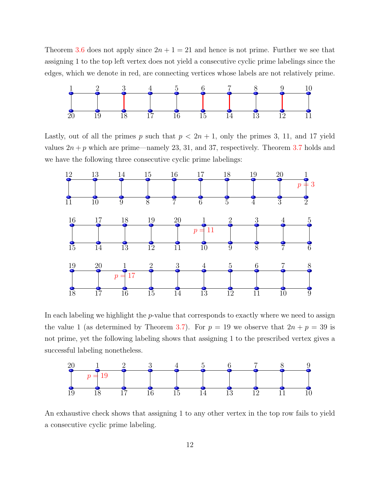Theorem [3.6](#page-9-0) does not apply since  $2n + 1 = 21$  and hence is not prime. Further we see that assigning 1 to the top left vertex does not yield a consecutive cyclic prime labelings since the edges, which we denote in red, are connecting vertices whose labels are not relatively prime.



Lastly, out of all the primes p such that  $p < 2n + 1$ , only the primes 3, 11, and 17 yield values  $2n + p$  which are prime—namely 23, 31, and 37, respectively. Theorem [3.7](#page-10-0) holds and we have the following three consecutive cyclic prime labelings:



In each labeling we highlight the  $p$ -value that corresponds to exactly where we need to assign the value 1 (as determined by Theorem [3.7\)](#page-10-0). For  $p = 19$  we observe that  $2n + p = 39$  is not prime, yet the following labeling shows that assigning 1 to the prescribed vertex gives a successful labeling nonetheless.



An exhaustive check shows that assigning 1 to any other vertex in the top row fails to yield a consecutive cyclic prime labeling.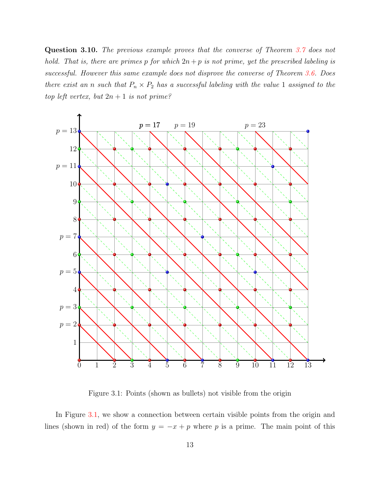<span id="page-12-1"></span>Question 3.10. The previous example proves that the converse of Theorem [3.7](#page-10-0) does not hold. That is, there are primes p for which  $2n + p$  is not prime, yet the prescribed labeling is successful. However this same example does not disprove the converse of Theorem [3.6.](#page-9-0) Does there exist an n such that  $P_n \times P_2$  has a successful labeling with the value 1 assigned to the top left vertex, but  $2n + 1$  is not prime?



<span id="page-12-0"></span>Figure 3.1: Points (shown as bullets) not visible from the origin

In Figure [3.1,](#page-12-0) we show a connection between certain visible points from the origin and lines (shown in red) of the form  $y = -x + p$  where p is a prime. The main point of this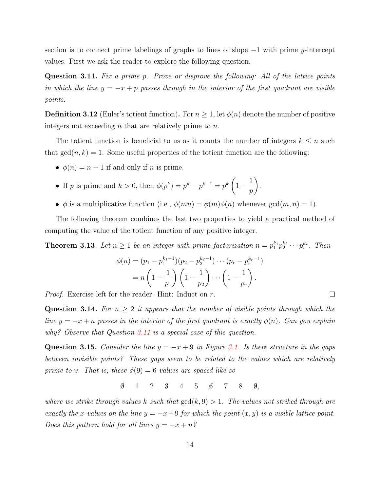section is to connect prime labelings of graphs to lines of slope −1 with prime y-intercept values. First we ask the reader to explore the following question.

<span id="page-13-1"></span>**Question 3.11.** Fix a prime p. Prove or disprove the following: All of the lattice points in which the line  $y = -x + p$  passes through in the interior of the first quadrant are visible points.

<span id="page-13-0"></span>**Definition 3.12** (Euler's totient function). For  $n \geq 1$ , let  $\phi(n)$  denote the number of positive integers not exceeding  $n$  that are relatively prime to  $n$ .

The totient function is beneficial to us as it counts the number of integers  $k \leq n$  such that  $gcd(n, k) = 1$ . Some useful properties of the totient function are the following:

- $\phi(n) = n 1$  if and only if n is prime.
- If p is prime and  $k > 0$ , then  $\phi(p^k) = p^k p^{k-1} = p^k$  $1 - \frac{1}{1}$ p  $\setminus$
- $\phi$  is a multiplicative function (i.e.,  $\phi(mn) = \phi(m)\phi(n)$  whenever  $gcd(m, n) = 1$ ).

.

The following theorem combines the last two properties to yield a practical method of computing the value of the totient function of any positive integer.

**Theorem 3.13.** Let  $n \geq 1$  be an integer with prime factorization  $n = p_1^{k_1} p_2^{k_2} \cdots p_r^{k_r}$ . Then

$$
\phi(n) = (p_1 - p_1^{k_1 - 1})(p_2 - p_2^{k_2 - 1}) \cdots (p_r - p_r^{k_r - 1})
$$

$$
= n \left(1 - \frac{1}{p_1}\right) \left(1 - \frac{1}{p_2}\right) \cdots \left(1 - \frac{1}{p_r}\right).
$$

Proof. Exercise left for the reader. Hint: Induct on r.

<span id="page-13-2"></span>**Question 3.14.** For  $n \geq 2$  it appears that the number of visible points through which the line  $y = -x + n$  passes in the interior of the first quadrant is exactly  $\phi(n)$ . Can you explain why? Observe that Question [3.11](#page-13-1) is a special case of this question.

<span id="page-13-3"></span>Question 3.15. Consider the line  $y = -x + 9$  in Figure [3.1.](#page-12-0) Is there structure in the gaps between invisible points? These gaps seem to be related to the values which are relatively prime to 9. That is, these  $\phi(9) = 6$  values are spaced like so

 $\emptyset$  1 2  $\emptyset$  4 5  $\emptyset$  7 8  $\emptyset$ ,

where we strike through values k such that  $gcd(k, 9) > 1$ . The values not striked through are exactly the x-values on the line  $y = -x + 9$  for which the point  $(x, y)$  is a visible lattice point. Does this pattern hold for all lines  $y = -x + n$ ?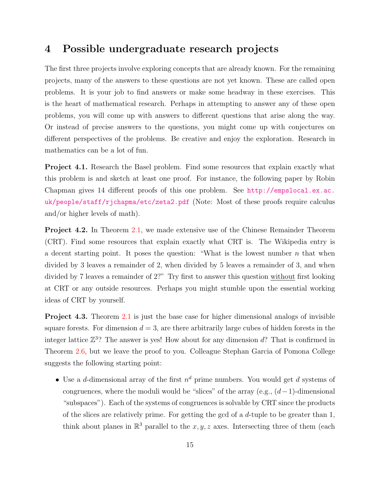#### <span id="page-14-0"></span>4 Possible undergraduate research projects

The first three projects involve exploring concepts that are already known. For the remaining projects, many of the answers to these questions are not yet known. These are called open problems. It is your job to find answers or make some headway in these exercises. This is the heart of mathematical research. Perhaps in attempting to answer any of these open problems, you will come up with answers to different questions that arise along the way. Or instead of precise answers to the questions, you might come up with conjectures on different perspectives of the problems. Be creative and enjoy the exploration. Research in mathematics can be a lot of fun.

Project 4.1. Research the Basel problem. Find some resources that explain exactly what this problem is and sketch at least one proof. For instance, the following paper by Robin Chapman gives 14 different proofs of this one problem. See [http://empslocal.ex.ac.](http://empslocal.ex.ac.uk/people/staff/rjchapma/etc/zeta2.pdf) [uk/people/staff/rjchapma/etc/zeta2.pdf](http://empslocal.ex.ac.uk/people/staff/rjchapma/etc/zeta2.pdf) (Note: Most of these proofs require calculus and/or higher levels of math).

Project 4.2. In Theorem [2.1,](#page-5-0) we made extensive use of the Chinese Remainder Theorem (CRT). Find some resources that explain exactly what CRT is. The Wikipedia entry is a decent starting point. It poses the question: "What is the lowest number  $n$  that when divided by 3 leaves a remainder of 2, when divided by 5 leaves a remainder of 3, and when divided by 7 leaves a remainder of 2?" Try first to answer this question without first looking at CRT or any outside resources. Perhaps you might stumble upon the essential working ideas of CRT by yourself.

<span id="page-14-1"></span>Project 4.3. Theorem [2.1](#page-5-0) is just the base case for higher dimensional analogs of invisible square forests. For dimension  $d = 3$ , are there arbitrarily large cubes of hidden forests in the integer lattice  $\mathbb{Z}^3$ ? The answer is yes! How about for any dimension  $d$ ? That is confirmed in Theorem [2.6,](#page-7-0) but we leave the proof to you. Colleague Stephan Garcia of Pomona College suggests the following starting point:

• Use a d-dimensional array of the first  $n^d$  prime numbers. You would get d systems of congruences, where the moduli would be "slices" of the array (e.g.,  $(d-1)$ -dimensional "subspaces"). Each of the systems of congruences is solvable by CRT since the products of the slices are relatively prime. For getting the gcd of a d-tuple to be greater than 1, think about planes in  $\mathbb{R}^3$  parallel to the  $x, y, z$  axes. Intersecting three of them (each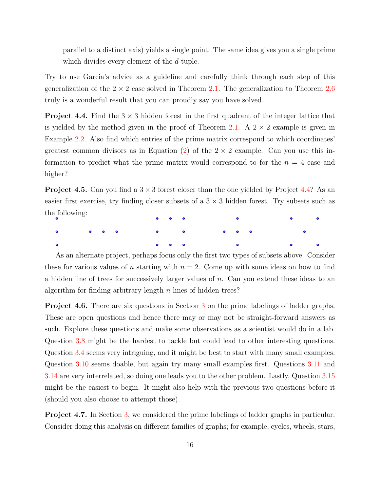parallel to a distinct axis) yields a single point. The same idea gives you a single prime which divides every element of the d-tuple.

Try to use Garcia's advice as a guideline and carefully think through each step of this generalization of the  $2 \times 2$  case solved in Theorem [2.1.](#page-5-0) The generalization to Theorem [2.6](#page-7-0) truly is a wonderful result that you can proudly say you have solved.

<span id="page-15-0"></span>**Project 4.4.** Find the  $3 \times 3$  hidden forest in the first quadrant of the integer lattice that is yielded by the method given in the proof of Theorem [2.1.](#page-5-0) A  $2 \times 2$  example is given in Example [2.2.](#page-6-0) Also find which entries of the prime matrix correspond to which coordinates' greatest common divisors as in Equation [\(2\)](#page-7-1) of the  $2 \times 2$  example. Can you use this information to predict what the prime matrix would correspond to for the  $n = 4$  case and higher?

**Project 4.5.** Can you find a  $3 \times 3$  forest closer than the one yielded by Project [4.4?](#page-15-0) As an easier first exercise, try finding closer subsets of a  $3 \times 3$  hidden forest. Try subsets such as the following:



As an alternate project, perhaps focus only the first two types of subsets above. Consider these for various values of n starting with  $n = 2$ . Come up with some ideas on how to find a hidden line of trees for successively larger values of n. Can you extend these ideas to an algorithm for finding arbitrary length  $n$  lines of hidden trees?

Project 4.6. There are six questions in Section [3](#page-8-0) on the prime labelings of ladder graphs. These are open questions and hence there may or may not be straight-forward answers as such. Explore these questions and make some observations as a scientist would do in a lab. Question [3.8](#page-10-1) might be the hardest to tackle but could lead to other interesting questions. Question [3.4](#page-8-2) seems very intriguing, and it might be best to start with many small examples. Question [3.10](#page-12-1) seems doable, but again try many small examples first. Questions [3.11](#page-13-1) and [3.14](#page-13-2) are very interrelated, so doing one leads you to the other problem. Lastly, Question [3.15](#page-13-3) might be the easiest to begin. It might also help with the previous two questions before it (should you also choose to attempt those).

Project 4.7. In Section [3,](#page-8-0) we considered the prime labelings of ladder graphs in particular. Consider doing this analysis on different families of graphs; for example, cycles, wheels, stars,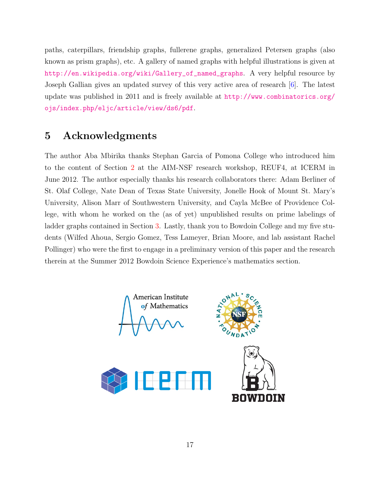paths, caterpillars, friendship graphs, fullerene graphs, generalized Petersen graphs (also known as prism graphs), etc. A gallery of named graphs with helpful illustrations is given at [http://en.wikipedia.org/wiki/Gallery\\_of\\_named\\_graphs](http://en.wikipedia.org/wiki/Gallery_of_named_graphs). A very helpful resource by Joseph Gallian gives an updated survey of this very active area of research [\[6\]](#page-17-7). The latest update was published in 2011 and is freely available at [http://www.combinatorics.org/](http://www.combinatorics.org/ojs/index.php/eljc/article/view/ds6/pdf) [ojs/index.php/eljc/article/view/ds6/pdf](http://www.combinatorics.org/ojs/index.php/eljc/article/view/ds6/pdf).

#### <span id="page-16-0"></span>5 Acknowledgments

The author Aba Mbirika thanks Stephan Garcia of Pomona College who introduced him to the content of Section [2](#page-4-0) at the AIM-NSF research workshop, REUF4, at ICERM in June 2012. The author especially thanks his research collaborators there: Adam Berliner of St. Olaf College, Nate Dean of Texas State University, Jonelle Hook of Mount St. Mary's University, Alison Marr of Southwestern University, and Cayla McBee of Providence College, with whom he worked on the (as of yet) unpublished results on prime labelings of ladder graphs contained in Section [3.](#page-8-0) Lastly, thank you to Bowdoin College and my five students (Wilfed Ahoua, Sergio Gomez, Tess Lameyer, Brian Moore, and lab assistant Rachel Pollinger) who were the first to engage in a preliminary version of this paper and the research therein at the Summer 2012 Bowdoin Science Experience's mathematics section.